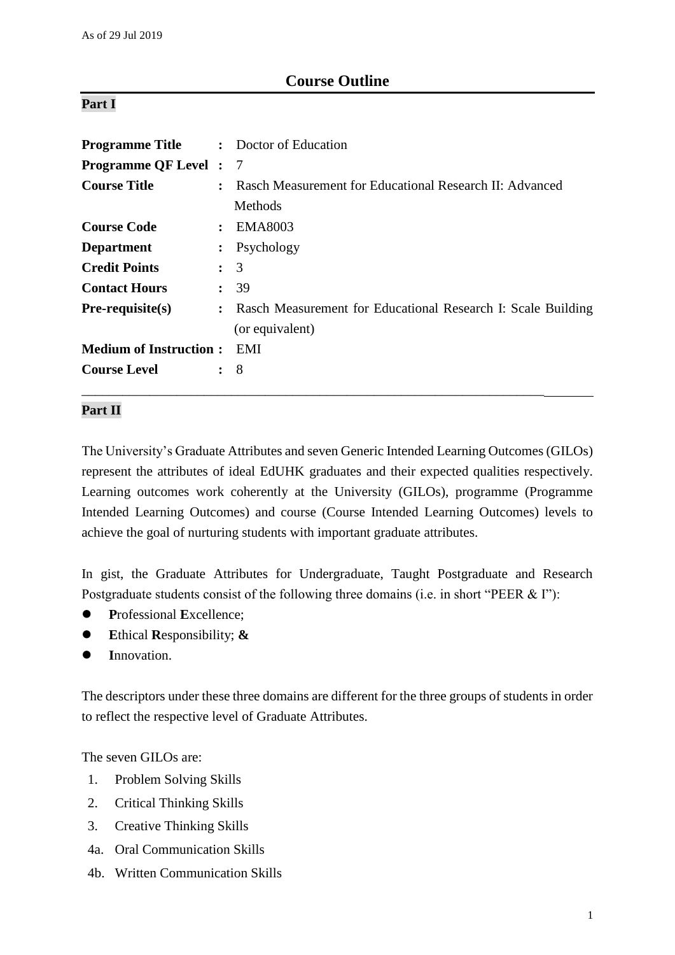# **Course Outline**

### **Part I**

| <b>Programme Title</b>        |                | : Doctor of Education                                          |
|-------------------------------|----------------|----------------------------------------------------------------|
| <b>Programme QF Level : 7</b> |                |                                                                |
| <b>Course Title</b>           | $\ddot{\cdot}$ | Rasch Measurement for Educational Research II: Advanced        |
|                               |                | Methods                                                        |
| <b>Course Code</b>            |                | : EMA8003                                                      |
| <b>Department</b>             |                | $:$ Psychology                                                 |
| <b>Credit Points</b>          |                | $\colon$ 3                                                     |
| <b>Contact Hours</b>          |                | : 39                                                           |
| $Pre-requisite(s)$            |                | : Rasch Measurement for Educational Research I: Scale Building |
|                               |                | (or equivalent)                                                |
| <b>Medium of Instruction:</b> |                | EMI                                                            |
| <b>Course Level</b>           |                | $\colon$ 8                                                     |
|                               |                |                                                                |

# **Part II**

The University's Graduate Attributes and seven Generic Intended Learning Outcomes (GILOs) represent the attributes of ideal EdUHK graduates and their expected qualities respectively. Learning outcomes work coherently at the University (GILOs), programme (Programme Intended Learning Outcomes) and course (Course Intended Learning Outcomes) levels to achieve the goal of nurturing students with important graduate attributes.

In gist, the Graduate Attributes for Undergraduate, Taught Postgraduate and Research Postgraduate students consist of the following three domains (i.e. in short "PEER & I"):

- **P**rofessional **E**xcellence;
- **E**thical **R**esponsibility; **&**
- **I**nnovation.

The descriptors under these three domains are different for the three groups of students in order to reflect the respective level of Graduate Attributes.

The seven GILOs are:

- 1. Problem Solving Skills
- 2. Critical Thinking Skills
- 3. Creative Thinking Skills
- 4a. Oral Communication Skills
- 4b. Written Communication Skills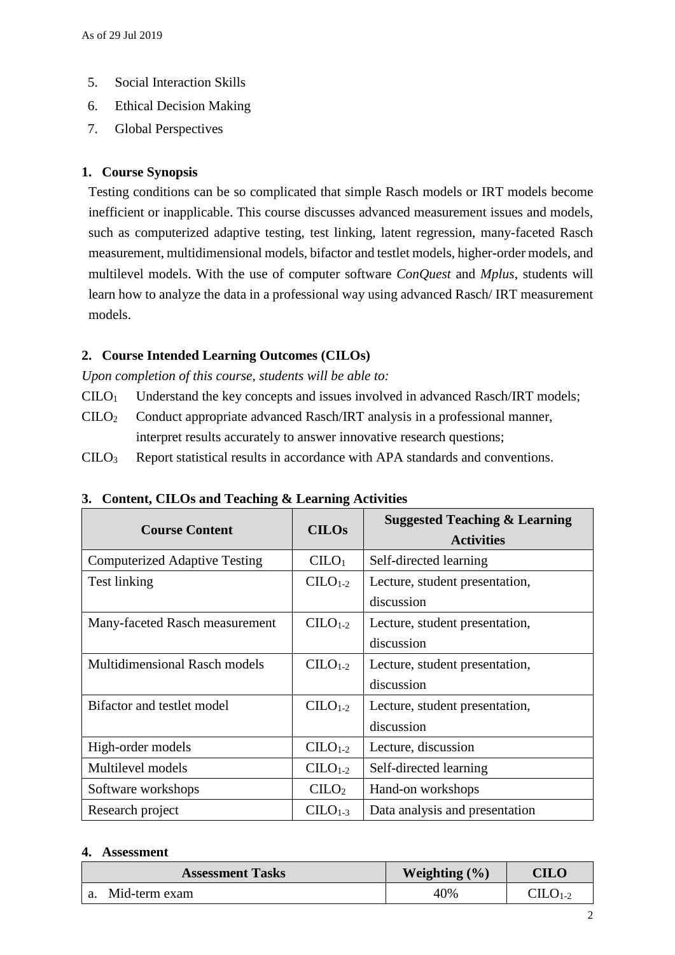- 5. Social Interaction Skills
- 6. Ethical Decision Making
- 7. Global Perspectives

## **1. Course Synopsis**

Testing conditions can be so complicated that simple Rasch models or IRT models become inefficient or inapplicable. This course discusses advanced measurement issues and models, such as computerized adaptive testing, test linking, latent regression, many-faceted Rasch measurement, multidimensional models, bifactor and testlet models, higher-order models, and multilevel models. With the use of computer software *ConQuest* and *Mplus*, students will learn how to analyze the data in a professional way using advanced Rasch/ IRT measurement models.

## **2. Course Intended Learning Outcomes (CILOs)**

*Upon completion of this course, students will be able to:*

- CILO<sup>1</sup> Understand the key concepts and issues involved in advanced Rasch/IRT models;
- $C I L$ O<sub>2</sub> Conduct appropriate advanced Rasch/IRT analysis in a professional manner, interpret results accurately to answer innovative research questions;
- CILO<sup>3</sup> Report statistical results in accordance with APA standards and conventions.

| <b>Course Content</b>                | <b>CILOs</b>      | <b>Suggested Teaching &amp; Learning</b><br><b>Activities</b> |
|--------------------------------------|-------------------|---------------------------------------------------------------|
| <b>Computerized Adaptive Testing</b> | CLLO <sub>1</sub> | Self-directed learning                                        |
| Test linking                         | $C1-2$            | Lecture, student presentation,                                |
|                                      |                   | discussion                                                    |
| Many-faceted Rasch measurement       | $C1-2$            | Lecture, student presentation,                                |
|                                      |                   | discussion                                                    |
| <b>Multidimensional Rasch models</b> | $CILO1-2$         | Lecture, student presentation,                                |
|                                      |                   | discussion                                                    |
| Bifactor and testlet model           | $C1-2$            | Lecture, student presentation,                                |
|                                      |                   | discussion                                                    |
| High-order models                    | $C1-2$            | Lecture, discussion                                           |
| Multilevel models                    | $C1-2$            | Self-directed learning                                        |
| Software workshops                   | CLLO <sub>2</sub> | Hand-on workshops                                             |
| Research project                     | $C1-3$            | Data analysis and presentation                                |

### **3. Content, CILOs and Teaching & Learning Activities**

### **4. Assessment**

| <b>Assessment Tasks</b> | Weighting $(\% )$ | $\rm CILO$     |
|-------------------------|-------------------|----------------|
| Mid-term exam           | 40%               | $\rm CILO$ 1-2 |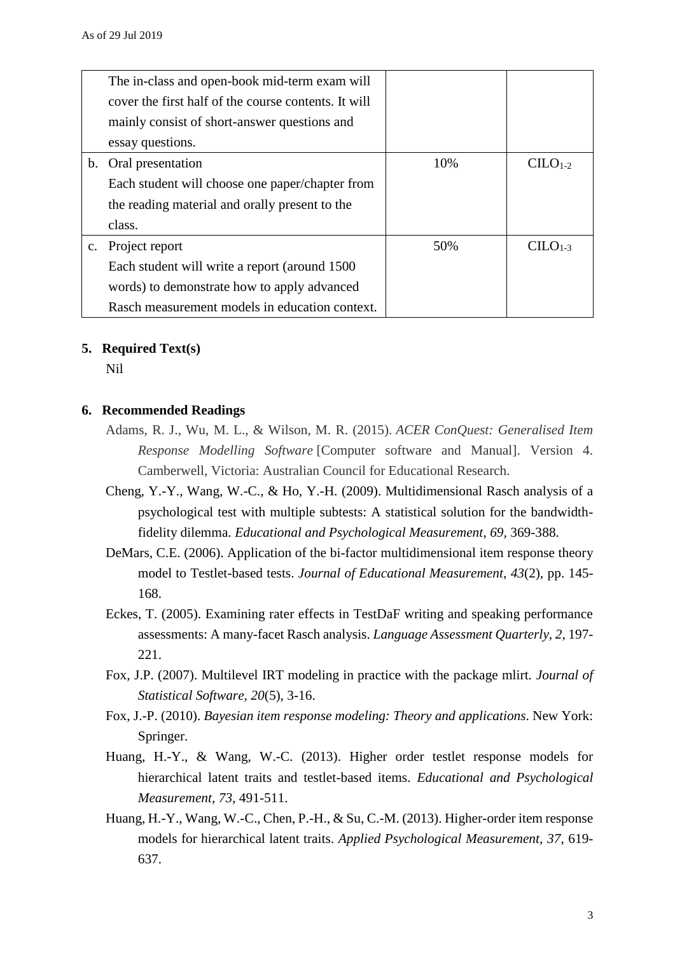|                | The in-class and open-book mid-term exam will        |     |           |
|----------------|------------------------------------------------------|-----|-----------|
|                | cover the first half of the course contents. It will |     |           |
|                | mainly consist of short-answer questions and         |     |           |
|                | essay questions.                                     |     |           |
| b.             | Oral presentation                                    | 10% | $CLLO1-2$ |
|                | Each student will choose one paper/chapter from      |     |           |
|                | the reading material and orally present to the       |     |           |
|                | class.                                               |     |           |
| $\mathbf{c}$ . | Project report                                       | 50% | $CILO1-3$ |
|                | Each student will write a report (around 1500)       |     |           |
|                | words) to demonstrate how to apply advanced          |     |           |
|                | Rasch measurement models in education context.       |     |           |

### **5. Required Text(s)**

Nil

#### **6. Recommended Readings**

- Adams, R. J., Wu, M. L., & Wilson, M. R. (2015). *ACER ConQuest: Generalised Item Response Modelling Software* [Computer software and Manual]. Version 4. Camberwell, Victoria: Australian Council for Educational Research.
- Cheng, Y.-Y., Wang, W.-C., & Ho, Y.-H. (2009). Multidimensional Rasch analysis of a psychological test with multiple subtests: A statistical solution for the bandwidthfidelity dilemma. *Educational and Psychological Measurement*, *69,* 369-388.
- DeMars, C.E. (2006). Application of the bi-factor multidimensional item response theory model to Testlet-based tests. *Journal of Educational Measurement*, *43*(2), pp. 145- 168.
- Eckes, T. (2005). Examining rater effects in TestDaF writing and speaking performance assessments: A many-facet Rasch analysis. *Language Assessment Quarterly, 2*, 197- 221.
- Fox, J.P. (2007). Multilevel IRT modeling in practice with the package mlirt. *Journal of Statistical Software, 20*(5), 3-16.
- Fox, J.-P. (2010). *Bayesian item response modeling: Theory and applications*. New York: Springer.
- Huang, H.-Y., & Wang, W.-C. (2013). Higher order testlet response models for hierarchical latent traits and testlet-based items. *Educational and Psychological Measurement, 73*, 491-511.
- Huang, H.-Y., Wang, W.-C., Chen, P.-H., & Su, C.-M. (2013). Higher-order item response models for hierarchical latent traits. *Applied Psychological Measurement, 37*, 619- 637.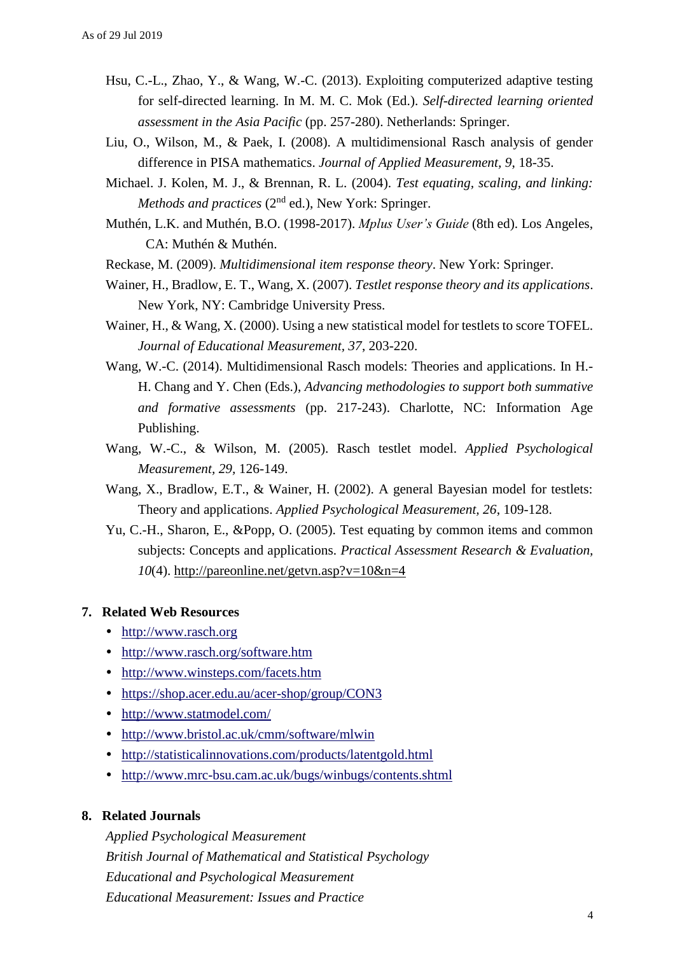- Hsu, C.-L., Zhao, Y., & Wang, W.-C. (2013). Exploiting computerized adaptive testing for self-directed learning. In M. M. C. Mok (Ed.). *Self-directed learning oriented assessment in the Asia Pacific* (pp. 257-280). Netherlands: Springer.
- Liu, O., Wilson, M., & Paek, I. (2008). A multidimensional Rasch analysis of gender difference in PISA mathematics. *Journal of Applied Measurement, 9*, 18-35.
- Michael. J. Kolen, M. J., & Brennan, R. L. (2004). *Test equating, scaling, and linking: Methods and practices* (2<sup>nd</sup> ed.), New York: Springer.
- Muthén, L.K. and Muthén, B.O. (1998-2017). *Mplus User's Guide* (8th ed). Los Angeles, CA: Muthén & Muthén.
- Reckase, M. (2009). *Multidimensional item response theory*. New York: Springer.
- Wainer, H., Bradlow, E. T., Wang, X. (2007). *Testlet response theory and its applications*. New York, NY: Cambridge University Press.
- Wainer, H., & Wang, X. (2000). Using a new statistical model for testlets to score TOFEL. *Journal of Educational Measurement, 37*, 203-220.
- Wang, W.-C. (2014). Multidimensional Rasch models: Theories and applications. In H.- H. Chang and Y. Chen (Eds.), *Advancing methodologies to support both summative and formative assessments* (pp. 217-243). Charlotte, NC: Information Age Publishing.
- Wang, W.-C., & Wilson, M. (2005). Rasch testlet model. *Applied Psychological Measurement, 29,* 126-149.
- Wang, X., Bradlow, E.T., & Wainer, H. (2002). A general Bayesian model for testlets: Theory and applications. *Applied Psychological Measurement, 26*, 109-128.
- Yu, C.-H., Sharon, E., &Popp, O. (2005). Test equating by common items and common subjects: Concepts and applications. *Practical Assessment Research & Evaluation, 10*(4).<http://pareonline.net/getvn.asp?v=10&n=4>

#### **7. Related Web Resources**

- [http://www.rasch.org](http://www.rasch.org/)
- <http://www.rasch.org/software.htm>
- <http://www.winsteps.com/facets.htm>
- <https://shop.acer.edu.au/acer-shop/group/CON3>
- <http://www.statmodel.com/>
- <http://www.bristol.ac.uk/cmm/software/mlwin>
- <http://statisticalinnovations.com/products/latentgold.html>
- <http://www.mrc-bsu.cam.ac.uk/bugs/winbugs/contents.shtml>

#### **8. Related Journals**

*Applied Psychological Measurement British Journal of Mathematical and Statistical Psychology Educational and Psychological Measurement Educational Measurement: Issues and Practice*